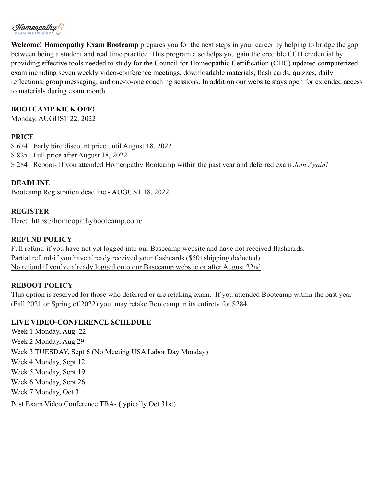

**Welcome! Homeopathy Exam Bootcamp** prepares you for the next steps in your career by helping to bridge the gap between being a student and real time practice. This program also helps you gain the credible CCH credential by providing effective tools needed to study for the Council for Homeopathic Certification (CHC) updated computerized exam including seven weekly video-conference meetings, downloadable materials, flash cards, quizzes, daily reflections, group messaging, and one-to-one coaching sessions. In addition our website stays open for extended access to materials during exam month.

## **BOOTCAMP KICK OFF!**

Monday, AUGUST 22, 2022

## **PRICE**

\$ 674 Early bird discount price until August 18, 2022

\$ 825 Full price after August 18, 2022

\$ 284 Reboot- If you attended Homeopathy Bootcamp within the past year and deferred exam *Join Again!*

## **DEADLINE**

Bootcamp Registration deadline - AUGUST 18, 2022

#### **REGISTER**

Here: https://homeopathybootcamp.com/

## **REFUND POLICY**

Full refund-if you have not yet logged into our Basecamp website and have not received flashcards. Partial refund-if you have already received your flashcards (\$50+shipping deducted) No refund if you've already logged onto our Basecamp website or after August 22nd.

#### **REBOOT POLICY**

This option is reserved for those who deferred or are retaking exam. If you attended Bootcamp within the past year (Fall 2021 or Spring of 2022) you may retake Bootcamp in its entirety for \$284.

#### **LIVE VIDEO-CONFERENCE SCHEDULE**

Week 1 Monday, Aug. 22 Week 2 Monday, Aug 29 Week 3 TUESDAY, Sept 6 (No Meeting USA Labor Day Monday) Week 4 Monday, Sept 12 Week 5 Monday, Sept 19 Week 6 Monday, Sept 26 Week 7 Monday, Oct 3 Post Exam Video Conference TBA- (typically Oct 31st)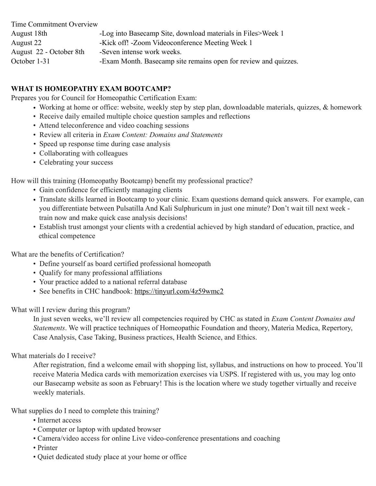| Time Commitment Overview |                                                                 |
|--------------------------|-----------------------------------------------------------------|
| August 18th              | -Log into Basecamp Site, download materials in Files>Week 1     |
| August 22                | -Kick off! - Zoom Videoconference Meeting Week 1                |
| August 22 - October 8th  | -Seven intense work weeks.                                      |
| October 1-31             | -Exam Month. Basecamp site remains open for review and quizzes. |

# **WHAT IS HOMEOPATHY EXAM BOOTCAMP?**

Prepares you for Council for Homeopathic Certification Exam:

- Working at home or office: website, weekly step by step plan, downloadable materials, quizzes, & homework
- Receive daily emailed multiple choice question samples and reflections
- Attend teleconference and video coaching sessions
- Review all criteria in *Exam Content: Domains and Statements*
- Speed up response time during case analysis
- Collaborating with colleagues
- Celebrating your success

How will this training (Homeopathy Bootcamp) benefit my professional practice?

- Gain confidence for efficiently managing clients
- Translate skills learned in Bootcamp to your clinic. Exam questions demand quick answers. For example, can you differentiate between Pulsatilla And Kali Sulphuricum in just one minute? Don't wait till next week train now and make quick case analysis decisions!
- Establish trust amongst your clients with a credential achieved by high standard of education, practice, and ethical competence

What are the benefits of Certification?

- Define yourself as board certified professional homeopath
- Qualify for many professional affiliations
- Your practice added to a national referral database
- See benefits in CHC handbook:<https://tinyurl.com/4z59wmc2>

What will I review during this program?

 In just seven weeks, we'll review all competencies required by CHC as stated in *Exam Content Domains and Statements*. We will practice techniques of Homeopathic Foundation and theory, Materia Medica, Repertory, Case Analysis, Case Taking, Business practices, Health Science, and Ethics.

What materials do I receive?

After registration, find a welcome email with shopping list, syllabus, and instructions on how to proceed. You'll receive Materia Medica cards with memorization exercises via USPS. If registered with us, you may log onto our Basecamp website as soon as February! This is the location where we study together virtually and receive weekly materials.

What supplies do I need to complete this training?

- Internet access
- Computer or laptop with updated browser
- Camera/video access for online Live video-conference presentations and coaching
- Printer
- Quiet dedicated study place at your home or office